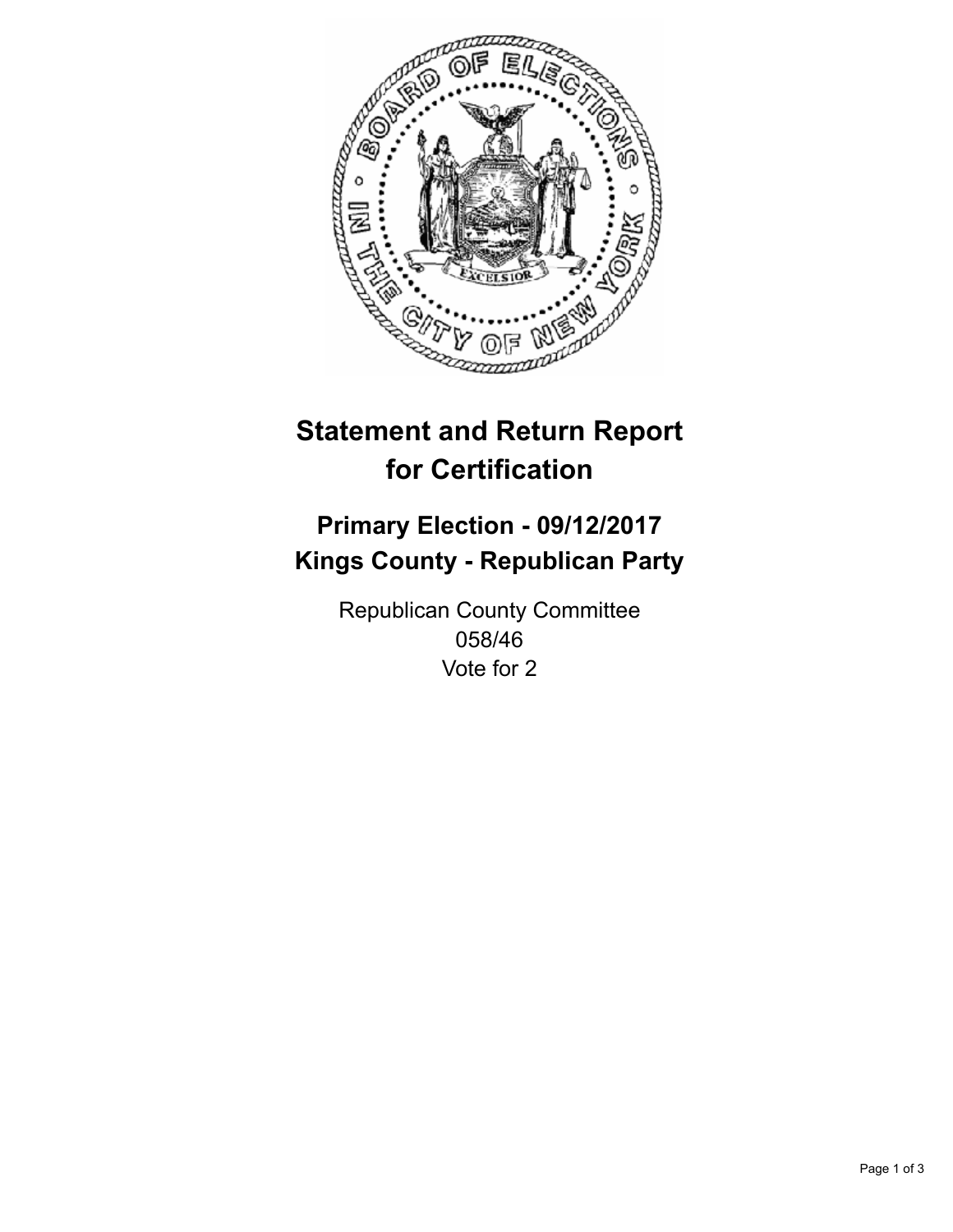

## **Statement and Return Report for Certification**

## **Primary Election - 09/12/2017 Kings County - Republican Party**

Republican County Committee 058/46 Vote for 2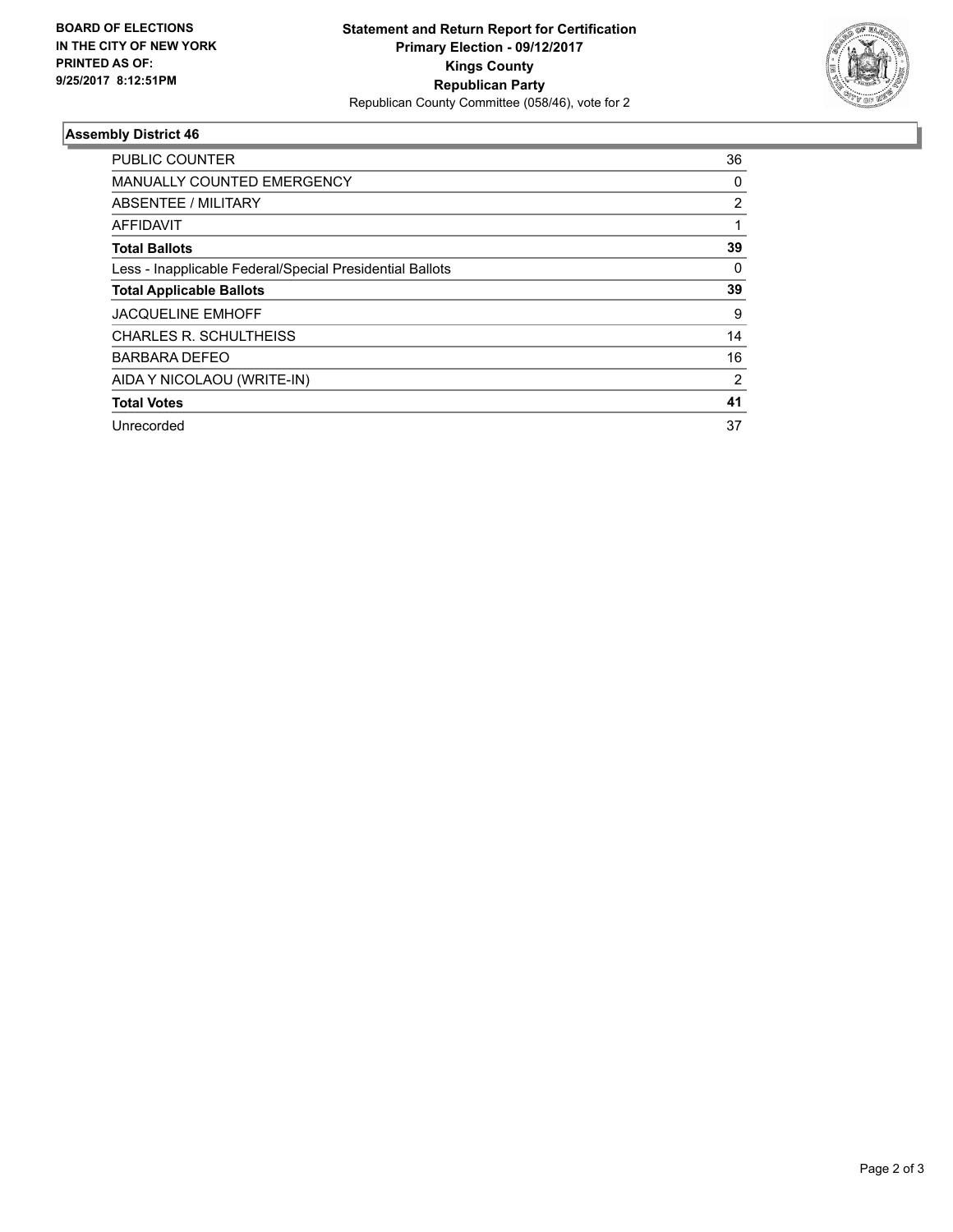

## **Assembly District 46**

| <b>PUBLIC COUNTER</b>                                    | 36             |
|----------------------------------------------------------|----------------|
| <b>MANUALLY COUNTED EMERGENCY</b>                        | 0              |
| ABSENTEE / MILITARY                                      | 2              |
| AFFIDAVIT                                                |                |
| <b>Total Ballots</b>                                     | 39             |
| Less - Inapplicable Federal/Special Presidential Ballots | 0              |
| <b>Total Applicable Ballots</b>                          | 39             |
| <b>JACQUELINE EMHOFF</b>                                 | 9              |
| CHARLES R. SCHULTHEISS                                   | 14             |
| <b>BARBARA DEFEO</b>                                     | 16             |
| AIDA Y NICOLAOU (WRITE-IN)                               | $\overline{2}$ |
| <b>Total Votes</b>                                       | 41             |
| Unrecorded                                               | 37             |